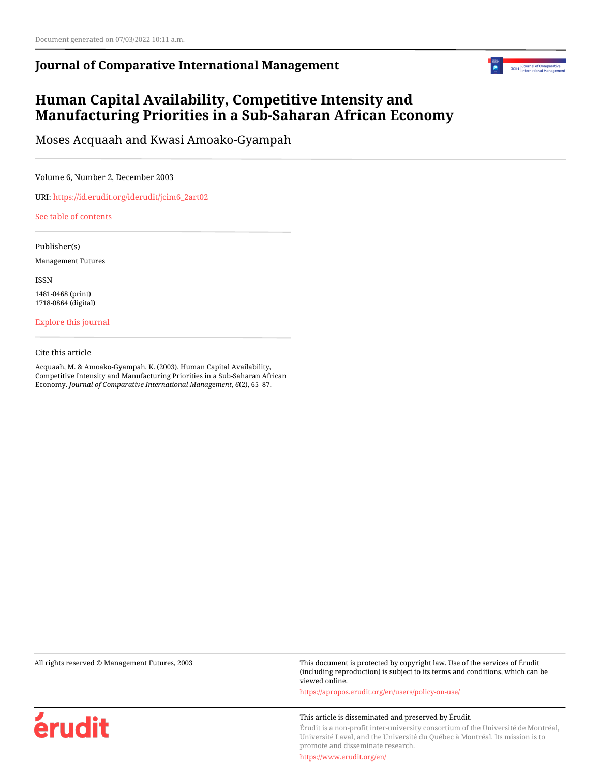# **Journal of Comparative International Management**



# **Human Capital Availability, Competitive Intensity and Manufacturing Priorities in a Sub-Saharan African Economy**

Moses Acquaah and Kwasi Amoako-Gyampah

Volume 6, Number 2, December 2003

URI: [https://id.erudit.org/iderudit/jcim6\\_2art02](https://id.erudit.org/iderudit/jcim6_2art02)

#### [See table of contents](https://www.erudit.org/en/journals/jcim/2003-v6-n2-jcim_6_2/)

Publisher(s)

Management Futures

ISSN

1481-0468 (print) 1718-0864 (digital)

[Explore this journal](https://www.erudit.org/en/journals/jcim/)

#### Cite this article

Acquaah, M. & Amoako-Gyampah, K. (2003). Human Capital Availability, Competitive Intensity and Manufacturing Priorities in a Sub-Saharan African Economy. *Journal of Comparative International Management*, *6*(2), 65–87.

érudit

All rights reserved © Management Futures, 2003 This document is protected by copyright law. Use of the services of Érudit (including reproduction) is subject to its terms and conditions, which can be viewed online.

<https://apropos.erudit.org/en/users/policy-on-use/>

#### This article is disseminated and preserved by Érudit.

Érudit is a non-profit inter-university consortium of the Université de Montréal, Université Laval, and the Université du Québec à Montréal. Its mission is to promote and disseminate research.

<https://www.erudit.org/en/>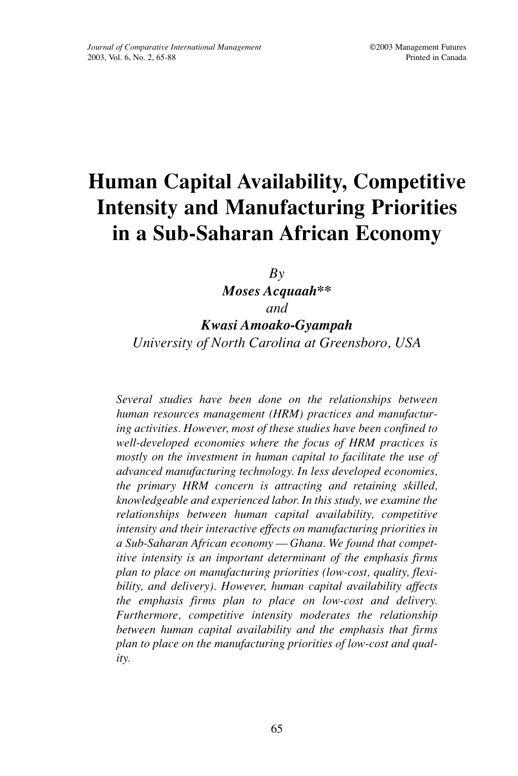# **Human Capital Availability, Competitive Intensity and Manufacturing Priorities in a Sub-Saharan African Economy**

*By*

*Moses Acquaah\*\* and Kwasi Amoako-Gyampah University of North Carolina at Greensboro, USA*

*Several studies have been done on the relationships between human resources management (HRM) practices and manufacturing activities. However, most of these studies have been confined to well-developed economies where the focus of HRM practices is mostly on the investment in human capital to facilitate the use of advanced manufacturing technology. In less developed economies, the primary HRM concern is attracting and retaining skilled, knowledgeable and experienced labor. In this study, we examine the relationships between human capital availability, competitive intensity and their interactive effects on manufacturing priorities in a Sub-Saharan African economy — Ghana. We found that competitive intensity is an important determinant of the emphasis firms plan to place on manufacturing priorities (low-cost, quality, flexibility, and delivery). However, human capital availability affects the emphasis firms plan to place on low-cost and delivery. Furthermore, competitive intensity moderates the relationship between human capital availability and the emphasis that firms plan to place on the manufacturing priorities of low-cost and quality.*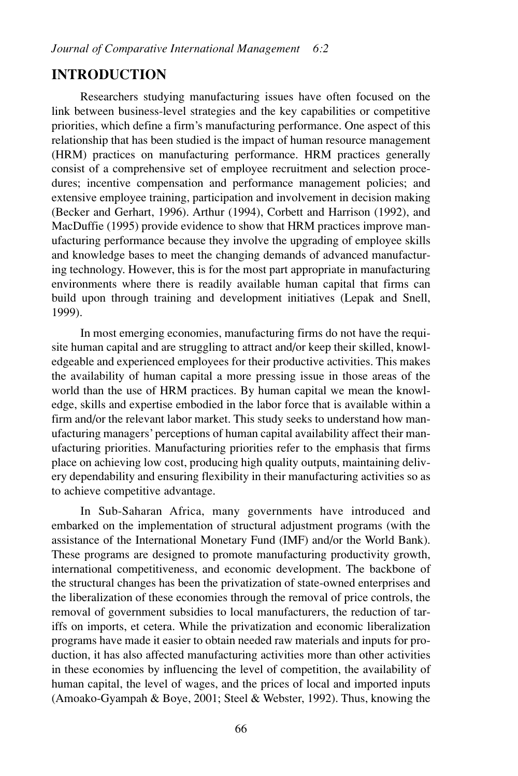# **INTRODUCTION**

Researchers studying manufacturing issues have often focused on the link between business-level strategies and the key capabilities or competitive priorities, which define a firm's manufacturing performance. One aspect of this relationship that has been studied is the impact of human resource management (HRM) practices on manufacturing performance. HRM practices generally consist of a comprehensive set of employee recruitment and selection procedures; incentive compensation and performance management policies; and extensive employee training, participation and involvement in decision making (Becker and Gerhart, 1996). Arthur (1994), Corbett and Harrison (1992), and MacDuffie (1995) provide evidence to show that HRM practices improve manufacturing performance because they involve the upgrading of employee skills and knowledge bases to meet the changing demands of advanced manufacturing technology. However, this is for the most part appropriate in manufacturing environments where there is readily available human capital that firms can build upon through training and development initiatives (Lepak and Snell, 1999).

In most emerging economies, manufacturing firms do not have the requisite human capital and are struggling to attract and/or keep their skilled, knowledgeable and experienced employees for their productive activities. This makes the availability of human capital a more pressing issue in those areas of the world than the use of HRM practices. By human capital we mean the knowledge, skills and expertise embodied in the labor force that is available within a firm and/or the relevant labor market. This study seeks to understand how manufacturing managers' perceptions of human capital availability affect their manufacturing priorities. Manufacturing priorities refer to the emphasis that firms place on achieving low cost, producing high quality outputs, maintaining delivery dependability and ensuring flexibility in their manufacturing activities so as to achieve competitive advantage.

In Sub-Saharan Africa, many governments have introduced and embarked on the implementation of structural adjustment programs (with the assistance of the International Monetary Fund (IMF) and/or the World Bank). These programs are designed to promote manufacturing productivity growth, international competitiveness, and economic development. The backbone of the structural changes has been the privatization of state-owned enterprises and the liberalization of these economies through the removal of price controls, the removal of government subsidies to local manufacturers, the reduction of tariffs on imports, et cetera. While the privatization and economic liberalization programs have made it easier to obtain needed raw materials and inputs for production, it has also affected manufacturing activities more than other activities in these economies by influencing the level of competition, the availability of human capital, the level of wages, and the prices of local and imported inputs (Amoako-Gyampah & Boye, 2001; Steel & Webster, 1992). Thus, knowing the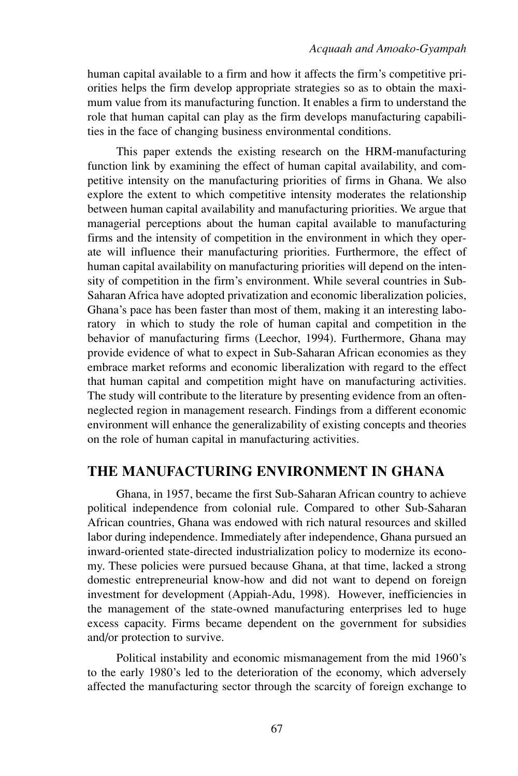human capital available to a firm and how it affects the firm's competitive priorities helps the firm develop appropriate strategies so as to obtain the maximum value from its manufacturing function. It enables a firm to understand the role that human capital can play as the firm develops manufacturing capabilities in the face of changing business environmental conditions.

This paper extends the existing research on the HRM-manufacturing function link by examining the effect of human capital availability, and competitive intensity on the manufacturing priorities of firms in Ghana. We also explore the extent to which competitive intensity moderates the relationship between human capital availability and manufacturing priorities. We argue that managerial perceptions about the human capital available to manufacturing firms and the intensity of competition in the environment in which they operate will influence their manufacturing priorities. Furthermore, the effect of human capital availability on manufacturing priorities will depend on the intensity of competition in the firm's environment. While several countries in Sub-Saharan Africa have adopted privatization and economic liberalization policies, Ghana's pace has been faster than most of them, making it an interesting laboratory in which to study the role of human capital and competition in the behavior of manufacturing firms (Leechor, 1994). Furthermore, Ghana may provide evidence of what to expect in Sub-Saharan African economies as they embrace market reforms and economic liberalization with regard to the effect that human capital and competition might have on manufacturing activities. The study will contribute to the literature by presenting evidence from an oftenneglected region in management research. Findings from a different economic environment will enhance the generalizability of existing concepts and theories on the role of human capital in manufacturing activities.

#### **THE MANUFACTURING ENVIRONMENT IN GHANA**

Ghana, in 1957, became the first Sub-Saharan African country to achieve political independence from colonial rule. Compared to other Sub-Saharan African countries, Ghana was endowed with rich natural resources and skilled labor during independence. Immediately after independence, Ghana pursued an inward-oriented state-directed industrialization policy to modernize its economy. These policies were pursued because Ghana, at that time, lacked a strong domestic entrepreneurial know-how and did not want to depend on foreign investment for development (Appiah-Adu, 1998). However, inefficiencies in the management of the state-owned manufacturing enterprises led to huge excess capacity. Firms became dependent on the government for subsidies and/or protection to survive.

Political instability and economic mismanagement from the mid 1960's to the early 1980's led to the deterioration of the economy, which adversely affected the manufacturing sector through the scarcity of foreign exchange to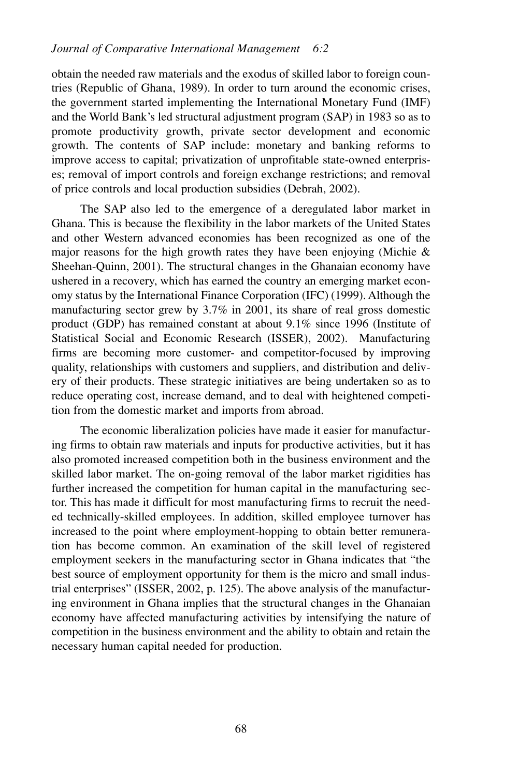obtain the needed raw materials and the exodus of skilled labor to foreign countries (Republic of Ghana, 1989). In order to turn around the economic crises, the government started implementing the International Monetary Fund (IMF) and the World Bank's led structural adjustment program (SAP) in 1983 so as to promote productivity growth, private sector development and economic growth. The contents of SAP include: monetary and banking reforms to improve access to capital; privatization of unprofitable state-owned enterprises; removal of import controls and foreign exchange restrictions; and removal of price controls and local production subsidies (Debrah, 2002).

The SAP also led to the emergence of a deregulated labor market in Ghana. This is because the flexibility in the labor markets of the United States and other Western advanced economies has been recognized as one of the major reasons for the high growth rates they have been enjoying (Michie  $\&$ Sheehan-Quinn, 2001). The structural changes in the Ghanaian economy have ushered in a recovery, which has earned the country an emerging market economy status by the International Finance Corporation (IFC) (1999). Although the manufacturing sector grew by 3.7% in 2001, its share of real gross domestic product (GDP) has remained constant at about 9.1% since 1996 (Institute of Statistical Social and Economic Research (ISSER), 2002). Manufacturing firms are becoming more customer- and competitor-focused by improving quality, relationships with customers and suppliers, and distribution and delivery of their products. These strategic initiatives are being undertaken so as to reduce operating cost, increase demand, and to deal with heightened competition from the domestic market and imports from abroad.

The economic liberalization policies have made it easier for manufacturing firms to obtain raw materials and inputs for productive activities, but it has also promoted increased competition both in the business environment and the skilled labor market. The on-going removal of the labor market rigidities has further increased the competition for human capital in the manufacturing sector. This has made it difficult for most manufacturing firms to recruit the needed technically-skilled employees. In addition, skilled employee turnover has increased to the point where employment-hopping to obtain better remuneration has become common. An examination of the skill level of registered employment seekers in the manufacturing sector in Ghana indicates that "the best source of employment opportunity for them is the micro and small industrial enterprises" (ISSER, 2002, p. 125). The above analysis of the manufacturing environment in Ghana implies that the structural changes in the Ghanaian economy have affected manufacturing activities by intensifying the nature of competition in the business environment and the ability to obtain and retain the necessary human capital needed for production.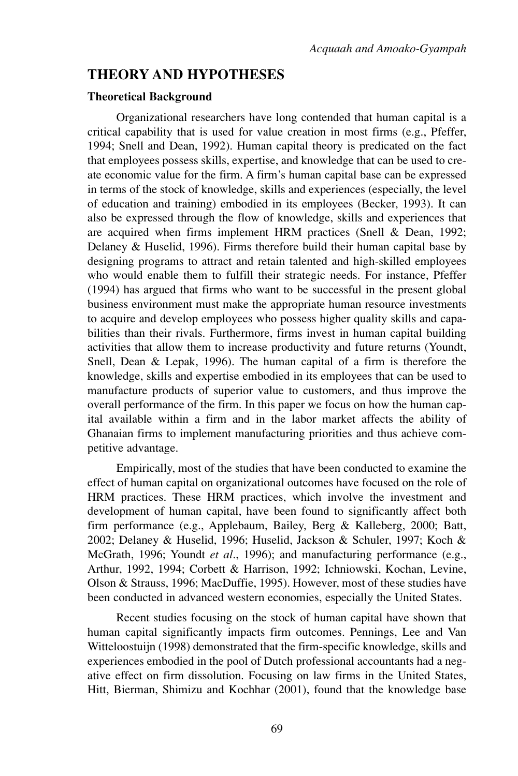# **THEORY AND HYPOTHESES**

#### **Theoretical Background**

Organizational researchers have long contended that human capital is a critical capability that is used for value creation in most firms (e.g., Pfeffer, 1994; Snell and Dean, 1992). Human capital theory is predicated on the fact that employees possess skills, expertise, and knowledge that can be used to create economic value for the firm. A firm's human capital base can be expressed in terms of the stock of knowledge, skills and experiences (especially, the level of education and training) embodied in its employees (Becker, 1993). It can also be expressed through the flow of knowledge, skills and experiences that are acquired when firms implement HRM practices (Snell & Dean, 1992; Delaney & Huselid, 1996). Firms therefore build their human capital base by designing programs to attract and retain talented and high-skilled employees who would enable them to fulfill their strategic needs. For instance, Pfeffer (1994) has argued that firms who want to be successful in the present global business environment must make the appropriate human resource investments to acquire and develop employees who possess higher quality skills and capabilities than their rivals. Furthermore, firms invest in human capital building activities that allow them to increase productivity and future returns (Youndt, Snell, Dean & Lepak, 1996). The human capital of a firm is therefore the knowledge, skills and expertise embodied in its employees that can be used to manufacture products of superior value to customers, and thus improve the overall performance of the firm. In this paper we focus on how the human capital available within a firm and in the labor market affects the ability of Ghanaian firms to implement manufacturing priorities and thus achieve competitive advantage.

Empirically, most of the studies that have been conducted to examine the effect of human capital on organizational outcomes have focused on the role of HRM practices. These HRM practices, which involve the investment and development of human capital, have been found to significantly affect both firm performance (e.g., Applebaum, Bailey, Berg & Kalleberg, 2000; Batt, 2002; Delaney & Huselid, 1996; Huselid, Jackson & Schuler, 1997; Koch & McGrath, 1996; Youndt *et al*., 1996); and manufacturing performance (e.g., Arthur, 1992, 1994; Corbett & Harrison, 1992; Ichniowski, Kochan, Levine, Olson & Strauss, 1996; MacDuffie, 1995). However, most of these studies have been conducted in advanced western economies, especially the United States.

Recent studies focusing on the stock of human capital have shown that human capital significantly impacts firm outcomes. Pennings, Lee and Van Witteloostuijn (1998) demonstrated that the firm-specific knowledge, skills and experiences embodied in the pool of Dutch professional accountants had a negative effect on firm dissolution. Focusing on law firms in the United States, Hitt, Bierman, Shimizu and Kochhar (2001), found that the knowledge base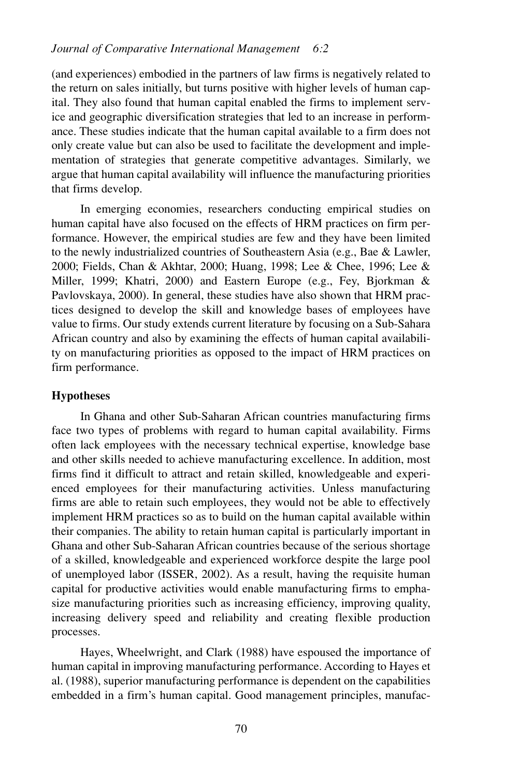(and experiences) embodied in the partners of law firms is negatively related to the return on sales initially, but turns positive with higher levels of human capital. They also found that human capital enabled the firms to implement service and geographic diversification strategies that led to an increase in performance. These studies indicate that the human capital available to a firm does not only create value but can also be used to facilitate the development and implementation of strategies that generate competitive advantages. Similarly, we argue that human capital availability will influence the manufacturing priorities that firms develop.

In emerging economies, researchers conducting empirical studies on human capital have also focused on the effects of HRM practices on firm performance. However, the empirical studies are few and they have been limited to the newly industrialized countries of Southeastern Asia (e.g., Bae & Lawler, 2000; Fields, Chan & Akhtar, 2000; Huang, 1998; Lee & Chee, 1996; Lee & Miller, 1999; Khatri, 2000) and Eastern Europe (e.g., Fey, Bjorkman & Pavlovskaya, 2000). In general, these studies have also shown that HRM practices designed to develop the skill and knowledge bases of employees have value to firms. Our study extends current literature by focusing on a Sub-Sahara African country and also by examining the effects of human capital availability on manufacturing priorities as opposed to the impact of HRM practices on firm performance.

#### **Hypotheses**

In Ghana and other Sub-Saharan African countries manufacturing firms face two types of problems with regard to human capital availability. Firms often lack employees with the necessary technical expertise, knowledge base and other skills needed to achieve manufacturing excellence. In addition, most firms find it difficult to attract and retain skilled, knowledgeable and experienced employees for their manufacturing activities. Unless manufacturing firms are able to retain such employees, they would not be able to effectively implement HRM practices so as to build on the human capital available within their companies. The ability to retain human capital is particularly important in Ghana and other Sub-Saharan African countries because of the serious shortage of a skilled, knowledgeable and experienced workforce despite the large pool of unemployed labor (ISSER, 2002). As a result, having the requisite human capital for productive activities would enable manufacturing firms to emphasize manufacturing priorities such as increasing efficiency, improving quality, increasing delivery speed and reliability and creating flexible production processes.

Hayes, Wheelwright, and Clark (1988) have espoused the importance of human capital in improving manufacturing performance. According to Hayes et al. (1988), superior manufacturing performance is dependent on the capabilities embedded in a firm's human capital. Good management principles, manufac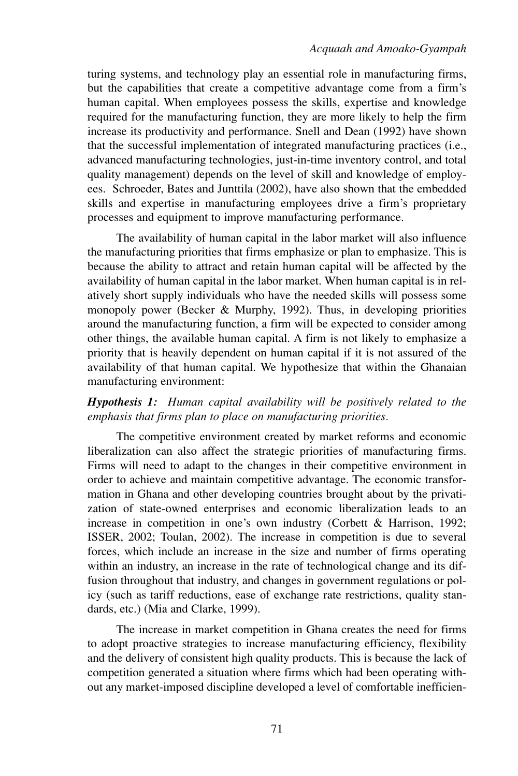turing systems, and technology play an essential role in manufacturing firms, but the capabilities that create a competitive advantage come from a firm's human capital. When employees possess the skills, expertise and knowledge required for the manufacturing function, they are more likely to help the firm increase its productivity and performance. Snell and Dean (1992) have shown that the successful implementation of integrated manufacturing practices (i.e., advanced manufacturing technologies, just-in-time inventory control, and total quality management) depends on the level of skill and knowledge of employees. Schroeder, Bates and Junttila (2002), have also shown that the embedded skills and expertise in manufacturing employees drive a firm's proprietary processes and equipment to improve manufacturing performance.

The availability of human capital in the labor market will also influence the manufacturing priorities that firms emphasize or plan to emphasize. This is because the ability to attract and retain human capital will be affected by the availability of human capital in the labor market. When human capital is in relatively short supply individuals who have the needed skills will possess some monopoly power (Becker & Murphy, 1992). Thus, in developing priorities around the manufacturing function, a firm will be expected to consider among other things, the available human capital. A firm is not likely to emphasize a priority that is heavily dependent on human capital if it is not assured of the availability of that human capital. We hypothesize that within the Ghanaian manufacturing environment:

#### *Hypothesis 1: Human capital availability will be positively related to the emphasis that firms plan to place on manufacturing priorities.*

The competitive environment created by market reforms and economic liberalization can also affect the strategic priorities of manufacturing firms. Firms will need to adapt to the changes in their competitive environment in order to achieve and maintain competitive advantage. The economic transformation in Ghana and other developing countries brought about by the privatization of state-owned enterprises and economic liberalization leads to an increase in competition in one's own industry (Corbett & Harrison, 1992; ISSER, 2002; Toulan, 2002). The increase in competition is due to several forces, which include an increase in the size and number of firms operating within an industry, an increase in the rate of technological change and its diffusion throughout that industry, and changes in government regulations or policy (such as tariff reductions, ease of exchange rate restrictions, quality standards, etc.) (Mia and Clarke, 1999).

The increase in market competition in Ghana creates the need for firms to adopt proactive strategies to increase manufacturing efficiency, flexibility and the delivery of consistent high quality products. This is because the lack of competition generated a situation where firms which had been operating without any market-imposed discipline developed a level of comfortable inefficien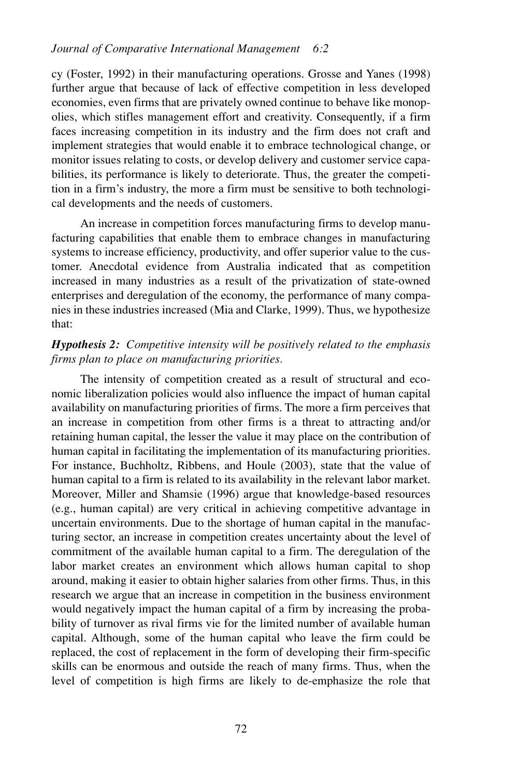cy (Foster, 1992) in their manufacturing operations. Grosse and Yanes (1998) further argue that because of lack of effective competition in less developed economies, even firms that are privately owned continue to behave like monopolies, which stifles management effort and creativity. Consequently, if a firm faces increasing competition in its industry and the firm does not craft and implement strategies that would enable it to embrace technological change, or monitor issues relating to costs, or develop delivery and customer service capabilities, its performance is likely to deteriorate. Thus, the greater the competition in a firm's industry, the more a firm must be sensitive to both technological developments and the needs of customers.

An increase in competition forces manufacturing firms to develop manufacturing capabilities that enable them to embrace changes in manufacturing systems to increase efficiency, productivity, and offer superior value to the customer. Anecdotal evidence from Australia indicated that as competition increased in many industries as a result of the privatization of state-owned enterprises and deregulation of the economy, the performance of many companies in these industries increased (Mia and Clarke, 1999). Thus, we hypothesize that:

#### *Hypothesis 2: Competitive intensity will be positively related to the emphasis firms plan to place on manufacturing priorities.*

The intensity of competition created as a result of structural and economic liberalization policies would also influence the impact of human capital availability on manufacturing priorities of firms. The more a firm perceives that an increase in competition from other firms is a threat to attracting and/or retaining human capital, the lesser the value it may place on the contribution of human capital in facilitating the implementation of its manufacturing priorities. For instance, Buchholtz, Ribbens, and Houle (2003), state that the value of human capital to a firm is related to its availability in the relevant labor market. Moreover, Miller and Shamsie (1996) argue that knowledge-based resources (e.g., human capital) are very critical in achieving competitive advantage in uncertain environments. Due to the shortage of human capital in the manufacturing sector, an increase in competition creates uncertainty about the level of commitment of the available human capital to a firm. The deregulation of the labor market creates an environment which allows human capital to shop around, making it easier to obtain higher salaries from other firms. Thus, in this research we argue that an increase in competition in the business environment would negatively impact the human capital of a firm by increasing the probability of turnover as rival firms vie for the limited number of available human capital. Although, some of the human capital who leave the firm could be replaced, the cost of replacement in the form of developing their firm-specific skills can be enormous and outside the reach of many firms. Thus, when the level of competition is high firms are likely to de-emphasize the role that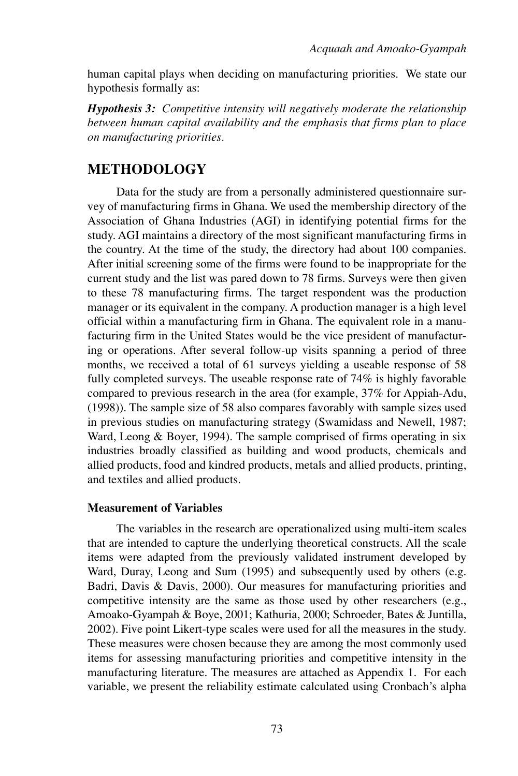human capital plays when deciding on manufacturing priorities. We state our hypothesis formally as:

*Hypothesis 3: Competitive intensity will negatively moderate the relationship between human capital availability and the emphasis that firms plan to place on manufacturing priorities.*

# **METHODOLOGY**

Data for the study are from a personally administered questionnaire survey of manufacturing firms in Ghana. We used the membership directory of the Association of Ghana Industries (AGI) in identifying potential firms for the study. AGI maintains a directory of the most significant manufacturing firms in the country. At the time of the study, the directory had about 100 companies. After initial screening some of the firms were found to be inappropriate for the current study and the list was pared down to 78 firms. Surveys were then given to these 78 manufacturing firms. The target respondent was the production manager or its equivalent in the company. A production manager is a high level official within a manufacturing firm in Ghana. The equivalent role in a manufacturing firm in the United States would be the vice president of manufacturing or operations. After several follow-up visits spanning a period of three months, we received a total of 61 surveys yielding a useable response of 58 fully completed surveys. The useable response rate of 74% is highly favorable compared to previous research in the area (for example, 37% for Appiah-Adu, (1998)). The sample size of 58 also compares favorably with sample sizes used in previous studies on manufacturing strategy (Swamidass and Newell, 1987; Ward, Leong & Boyer, 1994). The sample comprised of firms operating in six industries broadly classified as building and wood products, chemicals and allied products, food and kindred products, metals and allied products, printing, and textiles and allied products.

#### **Measurement of Variables**

The variables in the research are operationalized using multi-item scales that are intended to capture the underlying theoretical constructs. All the scale items were adapted from the previously validated instrument developed by Ward, Duray, Leong and Sum (1995) and subsequently used by others (e.g. Badri, Davis & Davis, 2000). Our measures for manufacturing priorities and competitive intensity are the same as those used by other researchers (e.g., Amoako-Gyampah & Boye, 2001; Kathuria, 2000; Schroeder, Bates & Juntilla, 2002). Five point Likert-type scales were used for all the measures in the study. These measures were chosen because they are among the most commonly used items for assessing manufacturing priorities and competitive intensity in the manufacturing literature. The measures are attached as Appendix 1. For each variable, we present the reliability estimate calculated using Cronbach's alpha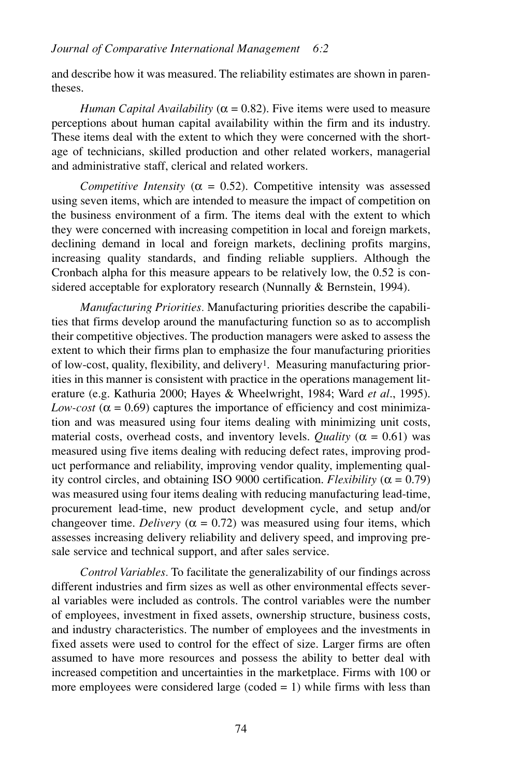and describe how it was measured. The reliability estimates are shown in parentheses.

*Human Capital Availability* ( $\alpha$  = 0.82). Five items were used to measure perceptions about human capital availability within the firm and its industry. These items deal with the extent to which they were concerned with the shortage of technicians, skilled production and other related workers, managerial and administrative staff, clerical and related workers.

*Competitive Intensity* ( $\alpha = 0.52$ ). Competitive intensity was assessed using seven items, which are intended to measure the impact of competition on the business environment of a firm. The items deal with the extent to which they were concerned with increasing competition in local and foreign markets, declining demand in local and foreign markets, declining profits margins, increasing quality standards, and finding reliable suppliers. Although the Cronbach alpha for this measure appears to be relatively low, the 0.52 is considered acceptable for exploratory research (Nunnally & Bernstein, 1994).

*Manufacturing Priorities.* Manufacturing priorities describe the capabilities that firms develop around the manufacturing function so as to accomplish their competitive objectives. The production managers were asked to assess the extent to which their firms plan to emphasize the four manufacturing priorities of low-cost, quality, flexibility, and delivery1. Measuring manufacturing priorities in this manner is consistent with practice in the operations management literature (e.g. Kathuria 2000; Hayes & Wheelwright, 1984; Ward *et al*., 1995). *Low-cost* ( $\alpha$  = 0.69) captures the importance of efficiency and cost minimization and was measured using four items dealing with minimizing unit costs, material costs, overhead costs, and inventory levels. *Quality* ( $\alpha$  = 0.61) was measured using five items dealing with reducing defect rates, improving product performance and reliability, improving vendor quality, implementing quality control circles, and obtaining ISO 9000 certification. *Flexibility* (α = 0.79) was measured using four items dealing with reducing manufacturing lead-time, procurement lead-time, new product development cycle, and setup and/or changeover time. *Delivery* ( $\alpha = 0.72$ ) was measured using four items, which assesses increasing delivery reliability and delivery speed, and improving presale service and technical support, and after sales service.

*Control Variables.* To facilitate the generalizability of our findings across different industries and firm sizes as well as other environmental effects several variables were included as controls. The control variables were the number of employees, investment in fixed assets, ownership structure, business costs, and industry characteristics. The number of employees and the investments in fixed assets were used to control for the effect of size. Larger firms are often assumed to have more resources and possess the ability to better deal with increased competition and uncertainties in the marketplace. Firms with 100 or more employees were considered large (coded = 1) while firms with less than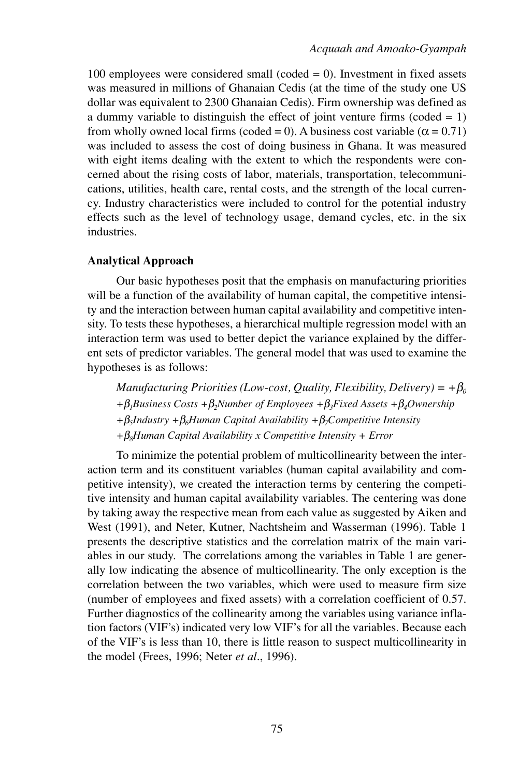100 employees were considered small (coded  $= 0$ ). Investment in fixed assets was measured in millions of Ghanaian Cedis (at the time of the study one US dollar was equivalent to 2300 Ghanaian Cedis). Firm ownership was defined as a dummy variable to distinguish the effect of joint venture firms (coded  $= 1$ ) from wholly owned local firms (coded = 0). A business cost variable ( $\alpha$  = 0.71) was included to assess the cost of doing business in Ghana. It was measured with eight items dealing with the extent to which the respondents were concerned about the rising costs of labor, materials, transportation, telecommunications, utilities, health care, rental costs, and the strength of the local currency. Industry characteristics were included to control for the potential industry effects such as the level of technology usage, demand cycles, etc. in the six industries.

#### **Analytical Approach**

Our basic hypotheses posit that the emphasis on manufacturing priorities will be a function of the availability of human capital, the competitive intensity and the interaction between human capital availability and competitive intensity. To tests these hypotheses, a hierarchical multiple regression model with an interaction term was used to better depict the variance explained by the different sets of predictor variables. The general model that was used to examine the hypotheses is as follows:

*Manufacturing Priorities (Low-cost, Quality, Flexibility, Delivery)* =  $+\beta_0$ *+*β*1Business Costs +*β*2Number of Employees +*β*3Fixed Assets +*β*4Ownership +*β*5Industry +*β*6Human Capital Availability +*β*7Competitive Intensity +*β*8Human Capital Availability x Competitive Intensity + Error* 

To minimize the potential problem of multicollinearity between the interaction term and its constituent variables (human capital availability and competitive intensity), we created the interaction terms by centering the competitive intensity and human capital availability variables. The centering was done by taking away the respective mean from each value as suggested by Aiken and West (1991), and Neter, Kutner, Nachtsheim and Wasserman (1996). Table 1 presents the descriptive statistics and the correlation matrix of the main variables in our study. The correlations among the variables in Table 1 are generally low indicating the absence of multicollinearity. The only exception is the correlation between the two variables, which were used to measure firm size (number of employees and fixed assets) with a correlation coefficient of 0.57. Further diagnostics of the collinearity among the variables using variance inflation factors (VIF's) indicated very low VIF's for all the variables. Because each of the VIF's is less than 10, there is little reason to suspect multicollinearity in the model (Frees, 1996; Neter *et al*., 1996).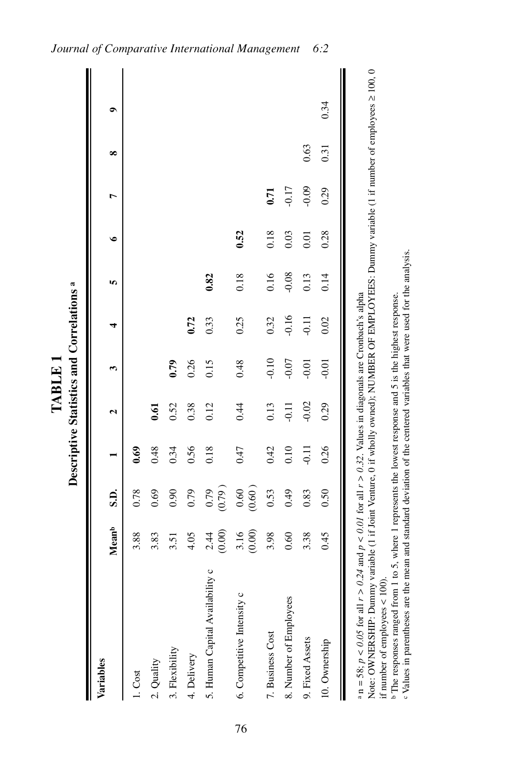|                                                                                                                      |                    |                     |         |              |         | Descriptive Statistics and Correlations <sup>a</sup> |         |           |                |      |           |
|----------------------------------------------------------------------------------------------------------------------|--------------------|---------------------|---------|--------------|---------|------------------------------------------------------|---------|-----------|----------------|------|-----------|
| Variables                                                                                                            | Mean <sup>b</sup>  | S.D.                |         | $\mathbf{c}$ | m       | 4                                                    | In,     | $\bullet$ | $\overline{ }$ | ∞    | $\bullet$ |
| 1. Cost                                                                                                              | 3.88               | 0.78                | 0.69    |              |         |                                                      |         |           |                |      |           |
| 2. Quality                                                                                                           | 3.83               | 0.69                | 0.48    | 0.61         |         |                                                      |         |           |                |      |           |
| 3. Flexibility                                                                                                       | 3.51               | 0.90                | 0.34    | 0.52         | 0.79    |                                                      |         |           |                |      |           |
| 4. Delivery                                                                                                          | 4.05               | 0.79                | 0.56    | 0.38         | 0.26    | 0.72                                                 |         |           |                |      |           |
| 5. Human Capital Availability c                                                                                      | $2.44$<br>$(0.00)$ | (679)               | 0.18    | 0.12         | 0.15    | 0.33                                                 | 0.82    |           |                |      |           |
| 6. Competitive Intensity c                                                                                           | $3.16$<br>$(0.00)$ | $\frac{0.60}{0.60}$ | 0.47    | 0.44         | 0.48    | 0.25                                                 | 0.18    | 0.52      |                |      |           |
| 7. Business Cost                                                                                                     | 3.98               | 0.53                | 0.42    | 0.13         | $-0.10$ | 0.32                                                 | 0.16    | 0.18      | 0.71           |      |           |
| 8. Number of Employees                                                                                               | 0.60               | 0.49                | 0.10    | $-0.11$      | $-0.07$ | $-0.16$                                              | $-0.08$ | 0.03      | $-0.17$        |      |           |
| 9. Fixed Assets                                                                                                      | 3.38               | 0.83                | $-0.11$ | $-0.02$      | $-0.01$ | $-0.11$                                              | 0.13    | 0.01      | $-0.09$        | 0.63 |           |
| 10. Ownership                                                                                                        | 0.45               | 0.50                | 0.26    | 0.29         | $-0.01$ | 0.02                                                 | 0.14    | 0.28      | 0.29           | 0.31 | 0.34      |
| a n = 58; $p < 0.05$ for all $r > 0.24$ and $p < 0.01$ for all $r > 0.32$ . Values in diagonals are Cronbach's alpha |                    |                     |         |              |         |                                                      |         |           |                |      |           |

**TABLE 1**

TABLE 1

76

Note: OWNERSHIP: Dummy variable (1 if Joint Venture, 0 if wholly owned); NUMBER OF EMPLOYEES: Dummy variable (1 if number of employees ≥ 100, 0 Note: OWNERSHIP: Dummy variable (1 if Joint Venture, 0 if wholly owned); NUMBER OF EMPLOYEES: Dummy variable (1 if number of employees ≥ 100, 0 if number of employees  $< 100$ ). if number of employees < 100).

<sup>b</sup> The responses ranged from 1 to 5, where 1 represents the lowest response and 5 is the highest response. The responses ranged from 1 to 5, where 1 represents the lowest response and 5 is the highest response.

e Values in parentheses are the mean and standard deviation of the centered variables that were used for the analysis. Values in parentheses are the mean and standard deviation of the centered variables that were used for the analysis.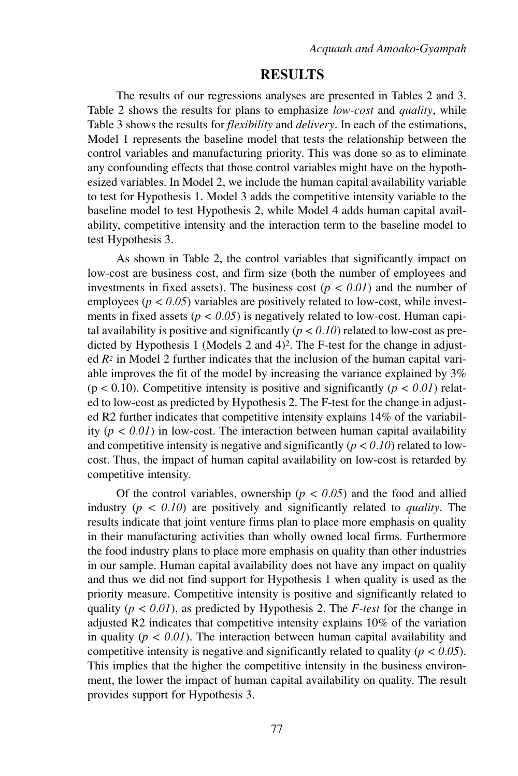#### **RESULTS**

The results of our regressions analyses are presented in Tables 2 and 3. Table 2 shows the results for plans to emphasize *low-cost* and *quality*, while Table 3 shows the results for *flexibility* and *delivery*. In each of the estimations, Model 1 represents the baseline model that tests the relationship between the control variables and manufacturing priority. This was done so as to eliminate any confounding effects that those control variables might have on the hypothesized variables. In Model 2, we include the human capital availability variable to test for Hypothesis 1. Model 3 adds the competitive intensity variable to the baseline model to test Hypothesis 2, while Model 4 adds human capital availability, competitive intensity and the interaction term to the baseline model to test Hypothesis 3.

As shown in Table 2, the control variables that significantly impact on low-cost are business cost, and firm size (both the number of employees and investments in fixed assets). The business cost  $(p < 0.01)$  and the number of employees ( $p < 0.05$ ) variables are positively related to low-cost, while investments in fixed assets ( $p < 0.05$ ) is negatively related to low-cost. Human capital availability is positive and significantly  $(p < 0.10)$  related to low-cost as predicted by Hypothesis 1 (Models 2 and 4)2. The F-test for the change in adjusted *R2* in Model 2 further indicates that the inclusion of the human capital variable improves the fit of the model by increasing the variance explained by 3% (p < 0.10). Competitive intensity is positive and significantly (*p < 0.01*) related to low-cost as predicted by Hypothesis 2. The F-test for the change in adjusted R2 further indicates that competitive intensity explains 14% of the variability  $(p < 0.01)$  in low-cost. The interaction between human capital availability and competitive intensity is negative and significantly  $(p < 0.10)$  related to lowcost. Thus, the impact of human capital availability on low-cost is retarded by competitive intensity.

Of the control variables, ownership ( $p < 0.05$ ) and the food and allied industry (*p < 0.10*) are positively and significantly related to *quality*. The results indicate that joint venture firms plan to place more emphasis on quality in their manufacturing activities than wholly owned local firms. Furthermore the food industry plans to place more emphasis on quality than other industries in our sample. Human capital availability does not have any impact on quality and thus we did not find support for Hypothesis 1 when quality is used as the priority measure. Competitive intensity is positive and significantly related to quality (*p < 0.01*), as predicted by Hypothesis 2. The *F-test* for the change in adjusted R2 indicates that competitive intensity explains 10% of the variation in quality  $(p < 0.01)$ . The interaction between human capital availability and competitive intensity is negative and significantly related to quality (*p < 0.05*). This implies that the higher the competitive intensity in the business environment, the lower the impact of human capital availability on quality. The result provides support for Hypothesis 3.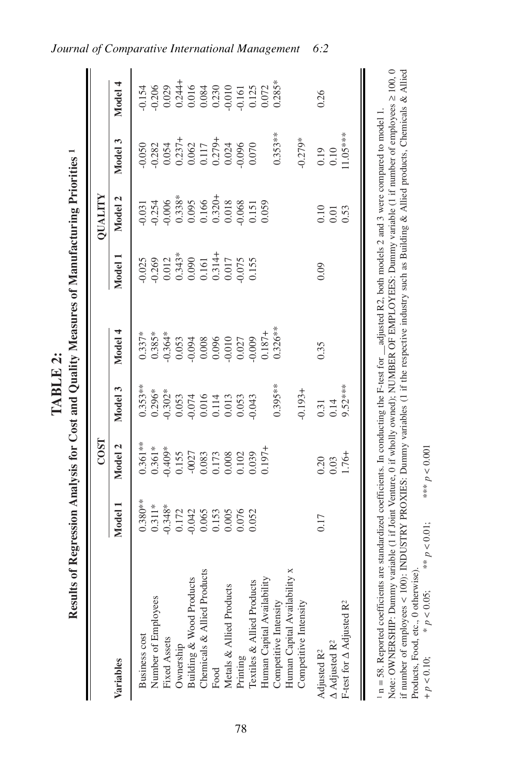| <b>CENT DE L'AGE</b> |  |
|----------------------|--|
|                      |  |
|                      |  |
|                      |  |
|                      |  |
|                      |  |
|                      |  |
|                      |  |
|                      |  |
|                      |  |
|                      |  |
|                      |  |
|                      |  |
|                      |  |
|                      |  |
|                      |  |
|                      |  |
|                      |  |
|                      |  |
|                      |  |
|                      |  |
|                      |  |

|                                                          |                                                                       | <b>COST</b>                                                                                                                                                                                                                                                          |                                                                                                                                                                                                                                                                          |         |                                                                                                            | QUALITY                                                                                                                                     |                                                                                                                                |                                                                                                                                 |
|----------------------------------------------------------|-----------------------------------------------------------------------|----------------------------------------------------------------------------------------------------------------------------------------------------------------------------------------------------------------------------------------------------------------------|--------------------------------------------------------------------------------------------------------------------------------------------------------------------------------------------------------------------------------------------------------------------------|---------|------------------------------------------------------------------------------------------------------------|---------------------------------------------------------------------------------------------------------------------------------------------|--------------------------------------------------------------------------------------------------------------------------------|---------------------------------------------------------------------------------------------------------------------------------|
| Variables                                                | Model                                                                 | Model 2                                                                                                                                                                                                                                                              | Model 3                                                                                                                                                                                                                                                                  | Model 4 | Model                                                                                                      | Model 2                                                                                                                                     | Model 3                                                                                                                        | Model 4                                                                                                                         |
| Business cost                                            |                                                                       |                                                                                                                                                                                                                                                                      |                                                                                                                                                                                                                                                                          |         |                                                                                                            |                                                                                                                                             |                                                                                                                                |                                                                                                                                 |
| Number of Employees                                      | 380**<br>0.311 **<br>0.343*<br>0.343 0.050 0.050<br>0.050 0.000 0.000 | $\begin{array}{l} .361**\\ 0.361**\\ 0.409*\\ 0.155\\ 0.027\\ 0.002\\ 0.003\\ 0.000\\ 0.000\\ 0.000\\ 0.000\\ 0.000\\ 0.0197+\\ 0.0197+\\ 0.0197+\\ 0.0197+\\ 0.0197+\\ 0.0197+\\ 0.0197+\\ 0.0197+\\ 0.0197+\\ 0.0197+\\ 0.0197+\\ 0.0197+\\ 0.0197+\\ 0.0197+\\ 0$ | $\begin{array}{l} 353* \\ 353* \\ 0.296* \\ 0.303\\ 0.033\\ 0.033\\ 0.033\\ 0.033\\ 0.033\\ 0.033\\ 0.033\\ 0.033\\ 0.033\\ 0.033\\ 0.033\\ 0.033\\ 0.033\\ 0.033\\ 0.033\\ 0.033\\ 0.033\\ 0.033\\ 0.033\\ 0.033\\ 0.033\\ 0.033\\ 0.033\\ 0.033\\ 0.033\\ 0.033\\ 0.0$ |         | $0.025$<br>$0.269$<br>$0.012$<br>$0.343$<br>$0.000$<br>$0.000$<br>$0.000$<br>$0.000$<br>$0.000$<br>$0.005$ | $\begin{array}{l} 0.031 \\ 0.254 \\ 0.388 \\ 0.3388 \\ 0.006 \\ 0.016 \\ 0.018 \\ 0.010 \\ 0.000 \\ 0.000 \\ 0.059 \\ 0.000 \\ \end{array}$ | $9.38$<br>$9.38$<br>$9.337$<br>$0.054$<br>$0.054$<br>$0.054$<br>$0.054$<br>$0.054$<br>$0.054$<br>$0.054$<br>$0.054$<br>$0.056$ |                                                                                                                                 |
| Fixed Assets                                             |                                                                       |                                                                                                                                                                                                                                                                      |                                                                                                                                                                                                                                                                          |         |                                                                                                            |                                                                                                                                             |                                                                                                                                |                                                                                                                                 |
| Ownership                                                |                                                                       |                                                                                                                                                                                                                                                                      |                                                                                                                                                                                                                                                                          |         |                                                                                                            |                                                                                                                                             |                                                                                                                                |                                                                                                                                 |
| Building & Wood Products                                 |                                                                       |                                                                                                                                                                                                                                                                      |                                                                                                                                                                                                                                                                          |         |                                                                                                            |                                                                                                                                             |                                                                                                                                | $154$<br>$0.208$<br>$0.244$<br>$0.0244$<br>$0.000$<br>$0.000$<br>$0.000$<br>$0.000$<br>$0.000$<br>$0.000$<br>$0.000$<br>$0.000$ |
| Chemicals & Allied Products                              |                                                                       |                                                                                                                                                                                                                                                                      |                                                                                                                                                                                                                                                                          |         |                                                                                                            |                                                                                                                                             |                                                                                                                                |                                                                                                                                 |
| Food                                                     |                                                                       |                                                                                                                                                                                                                                                                      |                                                                                                                                                                                                                                                                          |         |                                                                                                            |                                                                                                                                             |                                                                                                                                |                                                                                                                                 |
| Metals & Allied Products                                 |                                                                       |                                                                                                                                                                                                                                                                      |                                                                                                                                                                                                                                                                          |         |                                                                                                            |                                                                                                                                             |                                                                                                                                |                                                                                                                                 |
| Printing                                                 |                                                                       |                                                                                                                                                                                                                                                                      |                                                                                                                                                                                                                                                                          |         |                                                                                                            |                                                                                                                                             |                                                                                                                                |                                                                                                                                 |
| Textiles & Allied Products<br>Human Capital Availability |                                                                       |                                                                                                                                                                                                                                                                      |                                                                                                                                                                                                                                                                          |         |                                                                                                            |                                                                                                                                             |                                                                                                                                |                                                                                                                                 |
|                                                          |                                                                       |                                                                                                                                                                                                                                                                      |                                                                                                                                                                                                                                                                          |         |                                                                                                            |                                                                                                                                             |                                                                                                                                |                                                                                                                                 |
| Competitive Intensity                                    |                                                                       |                                                                                                                                                                                                                                                                      | $0.395***$                                                                                                                                                                                                                                                               |         |                                                                                                            |                                                                                                                                             | $0.353**$                                                                                                                      |                                                                                                                                 |
| Human Capital Availability x                             |                                                                       |                                                                                                                                                                                                                                                                      |                                                                                                                                                                                                                                                                          |         |                                                                                                            |                                                                                                                                             |                                                                                                                                |                                                                                                                                 |
| Competitive Intensity                                    |                                                                       |                                                                                                                                                                                                                                                                      | $-0.193 +$                                                                                                                                                                                                                                                               |         |                                                                                                            |                                                                                                                                             | $0.279*$                                                                                                                       |                                                                                                                                 |
| A Adjusted R <sup>2</sup><br>Adjusted R <sup>2</sup>     | 0.17                                                                  | $\begin{array}{c} 0.20 \\ 0.03 \\ 1.76 + \end{array}$                                                                                                                                                                                                                | $0.31$<br>0.14<br>9.52***                                                                                                                                                                                                                                                | 0.35    | 0.09                                                                                                       | $\begin{array}{c} 0.10 \\ 0.01 \\ 0.53 \end{array}$                                                                                         | $\frac{0.19}{0.10}$<br>1.05***                                                                                                 | 0.26                                                                                                                            |
| F-test for $\Delta$ Adjusted R <sup>2</sup>              |                                                                       |                                                                                                                                                                                                                                                                      |                                                                                                                                                                                                                                                                          |         |                                                                                                            |                                                                                                                                             |                                                                                                                                |                                                                                                                                 |

 $1 n = 58$ . Reported coefficients are standardized coefficients. In conducting the F-test for  $\_$ adjusted R2, both models 2 and 3 were compared to model 1.<br>Note: OWNERSHIP: Dummy variable (1 if Joint Venture, 0 if wholly ow if number of employees < 100); INDUSTRY PROXIES: Dummy variables (1 if the respective industry such as Building & Allied products, Chemicals & Allied if number of employees < 100): INDUSTRY PROXIES: Dummy variables (1 if the respective industry such as Building & Allied products, Chemicals & Allied Note: OWNERSHIP: Dummy variable (1 if Joint Venture, 0 if wholly owned); NUMBER OF EMPLOYEES: Dummy variable (1 if number of employees ≥ 100, 0  $n = 58$ . Reported coefficients are standardized coefficients. In conducting the F-test for  $\frac{1}{2}$  adjusted R2, both models 2 and 3 were compared to model 1. Products, Food, etc., 0 otherwise). Products, Food, etc., 0 otherwise).

\*\*\*  $p < 0.001$ + *p* < 0.10; \* *p* < 0.05; \*\* *p* < 0.01; \*\*\* *p* < 0.001  $** p < 0.01;$  $*_P<0.05;$  $+$   $p<0.10;$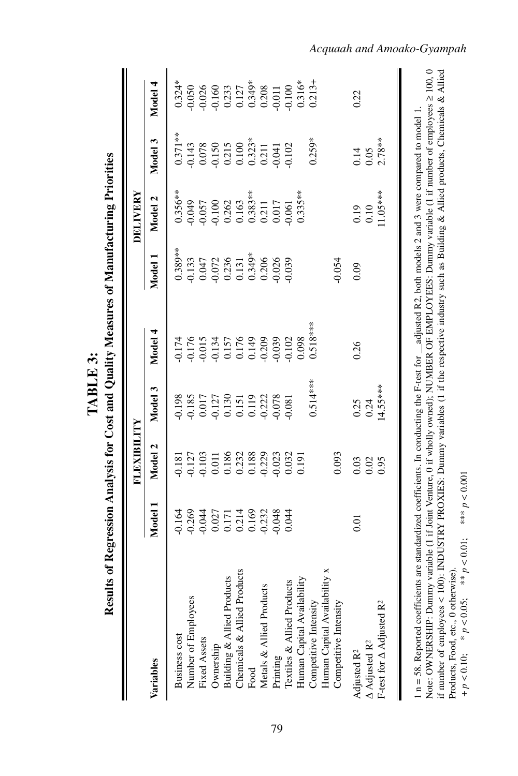| 0.134<br>0.157<br>0.176<br>0.149<br>0.209<br>0.015<br>$0.514***$<br>Model 3<br>0.198<br>0.185<br>$\begin{array}{c} 0.017 \\ 0.127 \\ 0.130 \\ 0.151 \\ 0.151 \end{array}$<br>0.119<br>0.222<br>0.078<br>0.081<br>Model 2<br>0.011<br>0.186<br>0.232<br>0.188<br>0.229<br>$0.127$<br>$0.103$<br>0.023<br>0.032<br>0.191<br>0.181<br>Model 1<br>0.269<br>$-0.044$<br>0.027<br>0.171<br>0.214<br>0.169<br>0.232<br>$-0.164$<br>0.048<br>0.044<br>Competitive Intensity<br>Human Capital Availability x<br>Products<br>Building & Allied Products<br>Human Capital Availability<br>Textiles & Allied Products<br>Metals & Allied Products<br>Number of Employees<br>Chemicals & Allied<br><b>Business</b> cost<br>Fixed Assets<br>Ownership<br>Printing<br>Variables<br>Food | Model 4<br>0.176<br>0.174 |                                                               |                                                                                                        |                                                                 |
|--------------------------------------------------------------------------------------------------------------------------------------------------------------------------------------------------------------------------------------------------------------------------------------------------------------------------------------------------------------------------------------------------------------------------------------------------------------------------------------------------------------------------------------------------------------------------------------------------------------------------------------------------------------------------------------------------------------------------------------------------------------------------|---------------------------|---------------------------------------------------------------|--------------------------------------------------------------------------------------------------------|-----------------------------------------------------------------|
|                                                                                                                                                                                                                                                                                                                                                                                                                                                                                                                                                                                                                                                                                                                                                                          |                           | Model 2<br>Model 1                                            | Model 3                                                                                                | Model 4                                                         |
|                                                                                                                                                                                                                                                                                                                                                                                                                                                                                                                                                                                                                                                                                                                                                                          |                           | $0.356**$<br>$0.389**$                                        | $0.371**$                                                                                              | $0.324*$                                                        |
|                                                                                                                                                                                                                                                                                                                                                                                                                                                                                                                                                                                                                                                                                                                                                                          |                           | $6*0.049$                                                     | 0.143                                                                                                  | 0.050                                                           |
|                                                                                                                                                                                                                                                                                                                                                                                                                                                                                                                                                                                                                                                                                                                                                                          |                           | 0.057<br>$0.133$<br>$0.047$                                   | $\begin{array}{c} 0.078 \\ -0.150 \\ 0.215 \\ 0.100 \\ 0.323* \\ 0.3211 \\ 0.211 \\ 0.041 \end{array}$ |                                                                 |
|                                                                                                                                                                                                                                                                                                                                                                                                                                                                                                                                                                                                                                                                                                                                                                          |                           | $\begin{array}{c} 0.100 \\ 0.262 \\ 0.163 \end{array}$        |                                                                                                        |                                                                 |
|                                                                                                                                                                                                                                                                                                                                                                                                                                                                                                                                                                                                                                                                                                                                                                          |                           |                                                               |                                                                                                        |                                                                 |
|                                                                                                                                                                                                                                                                                                                                                                                                                                                                                                                                                                                                                                                                                                                                                                          |                           |                                                               |                                                                                                        |                                                                 |
|                                                                                                                                                                                                                                                                                                                                                                                                                                                                                                                                                                                                                                                                                                                                                                          |                           | $0.383**$                                                     |                                                                                                        |                                                                 |
|                                                                                                                                                                                                                                                                                                                                                                                                                                                                                                                                                                                                                                                                                                                                                                          |                           | 0.211<br>$0.072$<br>$0.236$<br>$0.131$<br>$0.349*$<br>$0.206$ |                                                                                                        | $0.026$<br>$0.160$<br>$0.233$<br>$0.127$<br>$0.349*$<br>$0.308$ |
|                                                                                                                                                                                                                                                                                                                                                                                                                                                                                                                                                                                                                                                                                                                                                                          | 0.039                     | 0.017<br>0.026                                                |                                                                                                        | 0.011                                                           |
|                                                                                                                                                                                                                                                                                                                                                                                                                                                                                                                                                                                                                                                                                                                                                                          | 0.102                     | 0.061<br>0.039                                                | 0.102                                                                                                  | 0.100                                                           |
|                                                                                                                                                                                                                                                                                                                                                                                                                                                                                                                                                                                                                                                                                                                                                                          | 0.098                     | $0.335***$                                                    |                                                                                                        | $0.316*$                                                        |
|                                                                                                                                                                                                                                                                                                                                                                                                                                                                                                                                                                                                                                                                                                                                                                          | $0.518***$                |                                                               | $0.259*$                                                                                               | $0.213 +$                                                       |
|                                                                                                                                                                                                                                                                                                                                                                                                                                                                                                                                                                                                                                                                                                                                                                          |                           |                                                               |                                                                                                        |                                                                 |
| 0.093<br>Competitive Intensity                                                                                                                                                                                                                                                                                                                                                                                                                                                                                                                                                                                                                                                                                                                                           |                           | $-0.054$                                                      |                                                                                                        |                                                                 |
| 0.26<br>0.25<br>0.03<br>0.01<br>Adjusted R <sup>2</sup>                                                                                                                                                                                                                                                                                                                                                                                                                                                                                                                                                                                                                                                                                                                  |                           | 0.19<br>0.09                                                  | 0.14                                                                                                   | 0.22                                                            |
| 0.24<br>0.02<br>$\Delta$ Adjusted R <sup>2</sup>                                                                                                                                                                                                                                                                                                                                                                                                                                                                                                                                                                                                                                                                                                                         |                           | 0.10                                                          | 0.05                                                                                                   |                                                                 |
| $14.55***$<br>0.95<br>F-test for $\Delta$ Adjusted R <sup>2</sup>                                                                                                                                                                                                                                                                                                                                                                                                                                                                                                                                                                                                                                                                                                        |                           | $11.05***$                                                    | $2.78***$                                                                                              |                                                                 |
|                                                                                                                                                                                                                                                                                                                                                                                                                                                                                                                                                                                                                                                                                                                                                                          |                           |                                                               |                                                                                                        |                                                                 |

TABLE 3: **TABLE 3:**

79

# *Acquaah and Amoako-Gyampah*

Products, Food, etc., 0 otherwise).

+ *p* < 0.10; \* *p* < 0.05; \*\* *p* < 0.01; \*\*\* *p* < 0.001

Products, Food, etc., 0 otherwise).<br>+  $p < 0.10$ ; \*  $p < 0.05$ ; \* \*  $p < 0.01$ ; \* \* \*  $p > 0.001$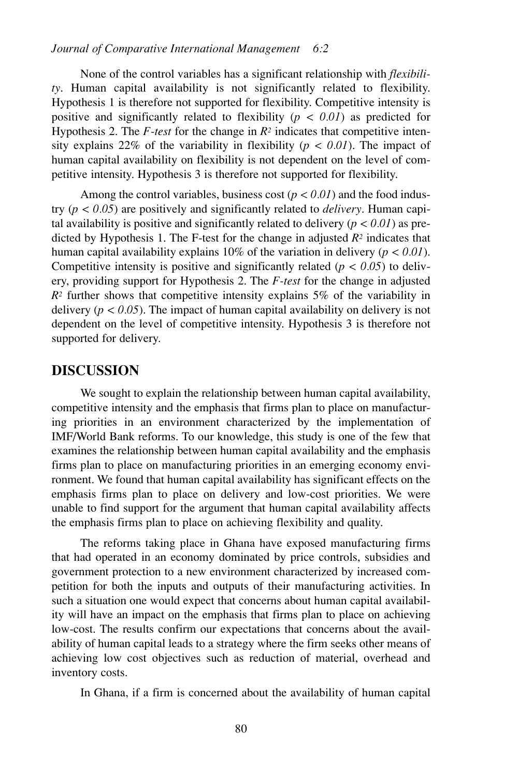None of the control variables has a significant relationship with *flexibility*. Human capital availability is not significantly related to flexibility. Hypothesis 1 is therefore not supported for flexibility. Competitive intensity is positive and significantly related to flexibility  $(p < 0.01)$  as predicted for Hypothesis 2. The *F-test* for the change in *R2* indicates that competitive intensity explains 22% of the variability in flexibility ( $p < 0.01$ ). The impact of human capital availability on flexibility is not dependent on the level of competitive intensity. Hypothesis 3 is therefore not supported for flexibility.

Among the control variables, business cost  $(p < 0.01)$  and the food industry  $(p < 0.05)$  are positively and significantly related to *delivery*. Human capital availability is positive and significantly related to delivery  $(p < 0.01)$  as predicted by Hypothesis 1. The F-test for the change in adjusted *R2* indicates that human capital availability explains 10% of the variation in delivery (*p < 0.01*). Competitive intensity is positive and significantly related ( $p < 0.05$ ) to delivery, providing support for Hypothesis 2. The *F-test* for the change in adjusted  $R<sup>2</sup>$  further shows that competitive intensity explains 5% of the variability in delivery ( $p < 0.05$ ). The impact of human capital availability on delivery is not dependent on the level of competitive intensity. Hypothesis 3 is therefore not supported for delivery.

## **DISCUSSION**

We sought to explain the relationship between human capital availability, competitive intensity and the emphasis that firms plan to place on manufacturing priorities in an environment characterized by the implementation of IMF/World Bank reforms. To our knowledge, this study is one of the few that examines the relationship between human capital availability and the emphasis firms plan to place on manufacturing priorities in an emerging economy environment. We found that human capital availability has significant effects on the emphasis firms plan to place on delivery and low-cost priorities. We were unable to find support for the argument that human capital availability affects the emphasis firms plan to place on achieving flexibility and quality.

The reforms taking place in Ghana have exposed manufacturing firms that had operated in an economy dominated by price controls, subsidies and government protection to a new environment characterized by increased competition for both the inputs and outputs of their manufacturing activities. In such a situation one would expect that concerns about human capital availability will have an impact on the emphasis that firms plan to place on achieving low-cost. The results confirm our expectations that concerns about the availability of human capital leads to a strategy where the firm seeks other means of achieving low cost objectives such as reduction of material, overhead and inventory costs.

In Ghana, if a firm is concerned about the availability of human capital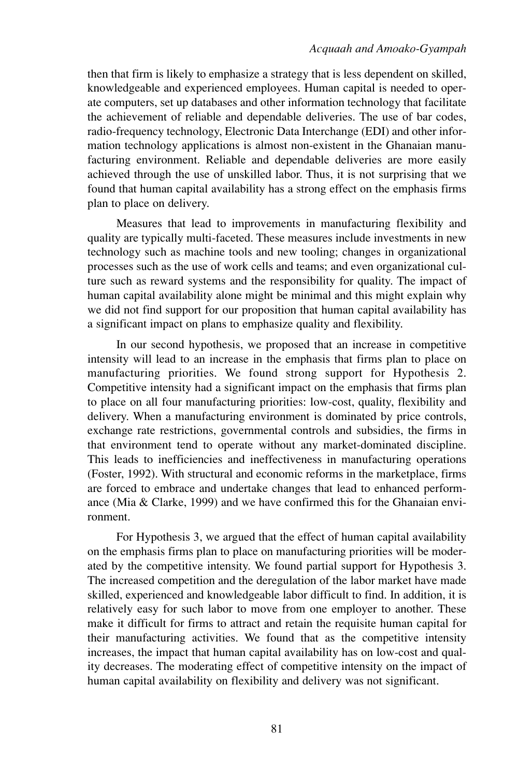then that firm is likely to emphasize a strategy that is less dependent on skilled, knowledgeable and experienced employees. Human capital is needed to operate computers, set up databases and other information technology that facilitate the achievement of reliable and dependable deliveries. The use of bar codes, radio-frequency technology, Electronic Data Interchange (EDI) and other information technology applications is almost non-existent in the Ghanaian manufacturing environment. Reliable and dependable deliveries are more easily achieved through the use of unskilled labor. Thus, it is not surprising that we found that human capital availability has a strong effect on the emphasis firms plan to place on delivery.

Measures that lead to improvements in manufacturing flexibility and quality are typically multi-faceted. These measures include investments in new technology such as machine tools and new tooling; changes in organizational processes such as the use of work cells and teams; and even organizational culture such as reward systems and the responsibility for quality. The impact of human capital availability alone might be minimal and this might explain why we did not find support for our proposition that human capital availability has a significant impact on plans to emphasize quality and flexibility.

In our second hypothesis, we proposed that an increase in competitive intensity will lead to an increase in the emphasis that firms plan to place on manufacturing priorities. We found strong support for Hypothesis 2. Competitive intensity had a significant impact on the emphasis that firms plan to place on all four manufacturing priorities: low-cost, quality, flexibility and delivery. When a manufacturing environment is dominated by price controls, exchange rate restrictions, governmental controls and subsidies, the firms in that environment tend to operate without any market-dominated discipline. This leads to inefficiencies and ineffectiveness in manufacturing operations (Foster, 1992). With structural and economic reforms in the marketplace, firms are forced to embrace and undertake changes that lead to enhanced performance (Mia & Clarke, 1999) and we have confirmed this for the Ghanaian environment.

For Hypothesis 3, we argued that the effect of human capital availability on the emphasis firms plan to place on manufacturing priorities will be moderated by the competitive intensity. We found partial support for Hypothesis 3. The increased competition and the deregulation of the labor market have made skilled, experienced and knowledgeable labor difficult to find. In addition, it is relatively easy for such labor to move from one employer to another. These make it difficult for firms to attract and retain the requisite human capital for their manufacturing activities. We found that as the competitive intensity increases, the impact that human capital availability has on low-cost and quality decreases. The moderating effect of competitive intensity on the impact of human capital availability on flexibility and delivery was not significant.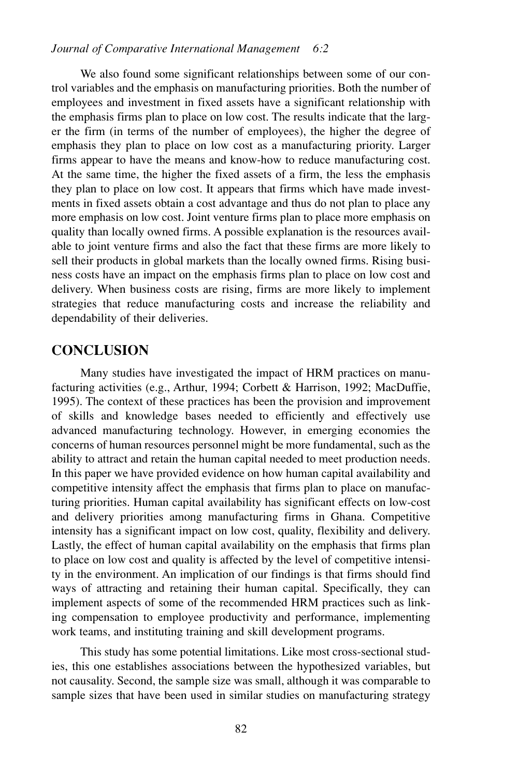We also found some significant relationships between some of our control variables and the emphasis on manufacturing priorities. Both the number of employees and investment in fixed assets have a significant relationship with the emphasis firms plan to place on low cost. The results indicate that the larger the firm (in terms of the number of employees), the higher the degree of emphasis they plan to place on low cost as a manufacturing priority. Larger firms appear to have the means and know-how to reduce manufacturing cost. At the same time, the higher the fixed assets of a firm, the less the emphasis they plan to place on low cost. It appears that firms which have made investments in fixed assets obtain a cost advantage and thus do not plan to place any more emphasis on low cost. Joint venture firms plan to place more emphasis on quality than locally owned firms. A possible explanation is the resources available to joint venture firms and also the fact that these firms are more likely to sell their products in global markets than the locally owned firms. Rising business costs have an impact on the emphasis firms plan to place on low cost and delivery. When business costs are rising, firms are more likely to implement strategies that reduce manufacturing costs and increase the reliability and dependability of their deliveries.

# **CONCLUSION**

Many studies have investigated the impact of HRM practices on manufacturing activities (e.g., Arthur, 1994; Corbett & Harrison, 1992; MacDuffie, 1995). The context of these practices has been the provision and improvement of skills and knowledge bases needed to efficiently and effectively use advanced manufacturing technology. However, in emerging economies the concerns of human resources personnel might be more fundamental, such as the ability to attract and retain the human capital needed to meet production needs. In this paper we have provided evidence on how human capital availability and competitive intensity affect the emphasis that firms plan to place on manufacturing priorities. Human capital availability has significant effects on low-cost and delivery priorities among manufacturing firms in Ghana. Competitive intensity has a significant impact on low cost, quality, flexibility and delivery. Lastly, the effect of human capital availability on the emphasis that firms plan to place on low cost and quality is affected by the level of competitive intensity in the environment. An implication of our findings is that firms should find ways of attracting and retaining their human capital. Specifically, they can implement aspects of some of the recommended HRM practices such as linking compensation to employee productivity and performance, implementing work teams, and instituting training and skill development programs.

This study has some potential limitations. Like most cross-sectional studies, this one establishes associations between the hypothesized variables, but not causality. Second, the sample size was small, although it was comparable to sample sizes that have been used in similar studies on manufacturing strategy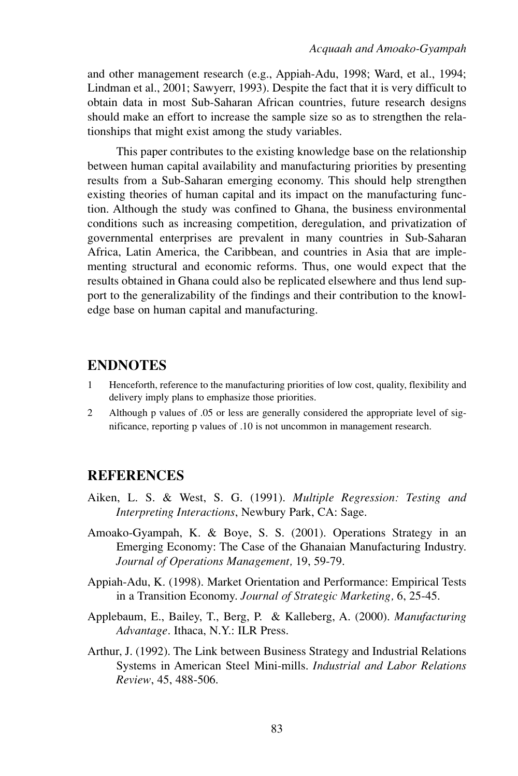and other management research (e.g., Appiah-Adu, 1998; Ward, et al., 1994; Lindman et al., 2001; Sawyerr, 1993). Despite the fact that it is very difficult to obtain data in most Sub-Saharan African countries, future research designs should make an effort to increase the sample size so as to strengthen the relationships that might exist among the study variables.

This paper contributes to the existing knowledge base on the relationship between human capital availability and manufacturing priorities by presenting results from a Sub-Saharan emerging economy. This should help strengthen existing theories of human capital and its impact on the manufacturing function. Although the study was confined to Ghana, the business environmental conditions such as increasing competition, deregulation, and privatization of governmental enterprises are prevalent in many countries in Sub-Saharan Africa, Latin America, the Caribbean, and countries in Asia that are implementing structural and economic reforms. Thus, one would expect that the results obtained in Ghana could also be replicated elsewhere and thus lend support to the generalizability of the findings and their contribution to the knowledge base on human capital and manufacturing.

#### **ENDNOTES**

- 1 Henceforth, reference to the manufacturing priorities of low cost, quality, flexibility and delivery imply plans to emphasize those priorities.
- 2 Although p values of .05 or less are generally considered the appropriate level of significance, reporting p values of .10 is not uncommon in management research.

### **REFERENCES**

- Aiken, L. S. & West, S. G. (1991). *Multiple Regression: Testing and Interpreting Interactions*, Newbury Park, CA: Sage.
- Amoako-Gyampah, K. & Boye, S. S. (2001). Operations Strategy in an Emerging Economy: The Case of the Ghanaian Manufacturing Industry. *Journal of Operations Management,* 19, 59-79.
- Appiah-Adu, K. (1998). Market Orientation and Performance: Empirical Tests in a Transition Economy. *Journal of Strategic Marketing,* 6, 25-45.
- Applebaum, E., Bailey, T., Berg, P. & Kalleberg, A. (2000). *Manufacturing Advantage*. Ithaca, N.Y.: ILR Press.
- Arthur, J. (1992). The Link between Business Strategy and Industrial Relations Systems in American Steel Mini-mills. *Industrial and Labor Relations Review*, 45, 488-506.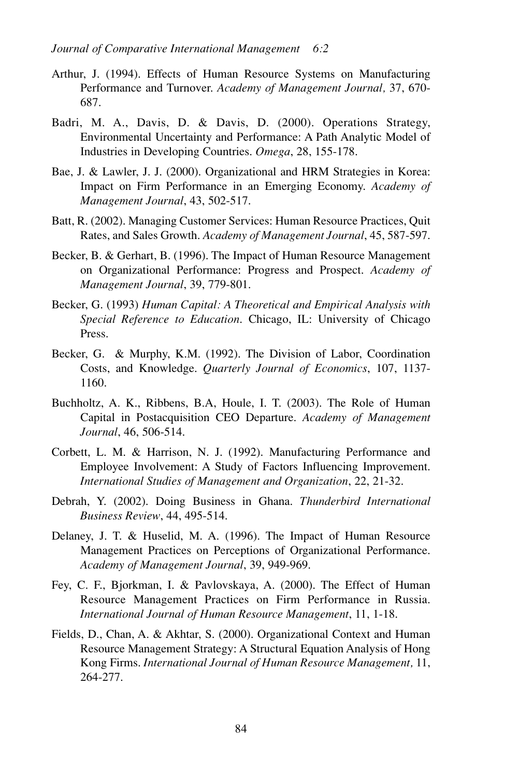- Arthur, J. (1994). Effects of Human Resource Systems on Manufacturing Performance and Turnover. *Academy of Management Journal,* 37, 670- 687.
- Badri, M. A., Davis, D. & Davis, D. (2000). Operations Strategy, Environmental Uncertainty and Performance: A Path Analytic Model of Industries in Developing Countries. *Omega*, 28, 155-178.
- Bae, J. & Lawler, J. J. (2000). Organizational and HRM Strategies in Korea: Impact on Firm Performance in an Emerging Economy. *Academy of Management Journal*, 43, 502-517.
- Batt, R. (2002). Managing Customer Services: Human Resource Practices, Quit Rates, and Sales Growth. *Academy of Management Journal*, 45, 587-597.
- Becker, B. & Gerhart, B. (1996). The Impact of Human Resource Management on Organizational Performance: Progress and Prospect. *Academy of Management Journal*, 39, 779-801.
- Becker, G. (1993) *Human Capital: A Theoretical and Empirical Analysis with Special Reference to Education*. Chicago, IL: University of Chicago Press.
- Becker, G. & Murphy, K.M. (1992). The Division of Labor, Coordination Costs, and Knowledge. *Quarterly Journal of Economics*, 107, 1137- 1160.
- Buchholtz, A. K., Ribbens, B.A, Houle, I. T. (2003). The Role of Human Capital in Postacquisition CEO Departure. *Academy of Management Journal*, 46, 506-514.
- Corbett, L. M. & Harrison, N. J. (1992). Manufacturing Performance and Employee Involvement: A Study of Factors Influencing Improvement. *International Studies of Management and Organization*, 22, 21-32.
- Debrah, Y. (2002). Doing Business in Ghana. *Thunderbird International Business Review*, 44, 495-514.
- Delaney, J. T. & Huselid, M. A. (1996). The Impact of Human Resource Management Practices on Perceptions of Organizational Performance. *Academy of Management Journal*, 39, 949-969.
- Fey, C. F., Bjorkman, I. & Pavlovskaya, A. (2000). The Effect of Human Resource Management Practices on Firm Performance in Russia. *International Journal of Human Resource Management*, 11, 1-18.
- Fields, D., Chan, A. & Akhtar, S. (2000). Organizational Context and Human Resource Management Strategy: A Structural Equation Analysis of Hong Kong Firms. *International Journal of Human Resource Management,* 11, 264-277.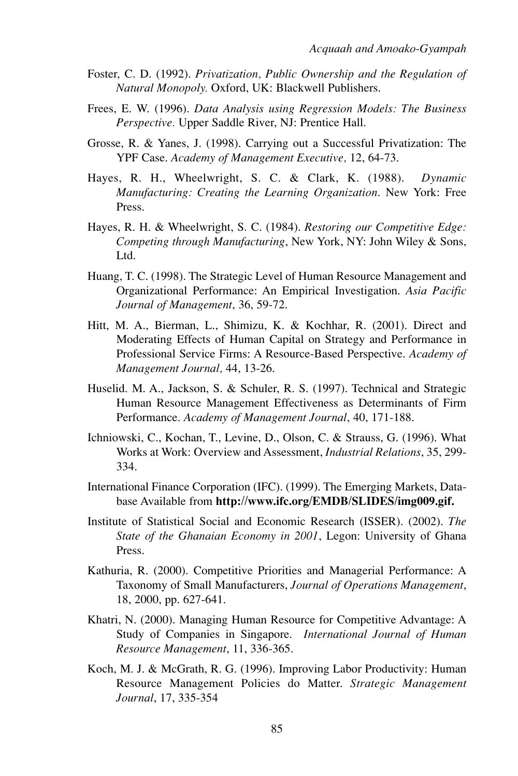- Foster, C. D. (1992). *Privatization, Public Ownership and the Regulation of Natural Monopoly.* Oxford, UK: Blackwell Publishers.
- Frees, E. W. (1996). *Data Analysis using Regression Models: The Business Perspective.* Upper Saddle River, NJ: Prentice Hall.
- Grosse, R. & Yanes, J. (1998). Carrying out a Successful Privatization: The YPF Case. *Academy of Management Executive,* 12, 64-73.
- Hayes, R. H., Wheelwright, S. C. & Clark, K. (1988). *Dynamic Manufacturing: Creating the Learning Organization*. New York: Free Press.
- Hayes, R. H. & Wheelwright, S. C. (1984). *Restoring our Competitive Edge: Competing through Manufacturing*, New York, NY: John Wiley & Sons, Ltd.
- Huang, T. C. (1998). The Strategic Level of Human Resource Management and Organizational Performance: An Empirical Investigation. *Asia Pacific Journal of Management*, 36, 59-72.
- Hitt, M. A., Bierman, L., Shimizu, K. & Kochhar, R. (2001). Direct and Moderating Effects of Human Capital on Strategy and Performance in Professional Service Firms: A Resource-Based Perspective. *Academy of Management Journal,* 44, 13-26.
- Huselid. M. A., Jackson, S. & Schuler, R. S. (1997). Technical and Strategic Human Resource Management Effectiveness as Determinants of Firm Performance. *Academy of Management Journal*, 40, 171-188.
- Ichniowski, C., Kochan, T., Levine, D., Olson, C. & Strauss, G. (1996). What Works at Work: Overview and Assessment, *Industrial Relations*, 35, 299- 334.
- International Finance Corporation (IFC). (1999). The Emerging Markets, Database Available from **http://www.ifc.org/EMDB/SLIDES/img009.gif.**
- Institute of Statistical Social and Economic Research (ISSER). (2002). *The State of the Ghanaian Economy in 2001*, Legon: University of Ghana Press.
- Kathuria, R. (2000). Competitive Priorities and Managerial Performance: A Taxonomy of Small Manufacturers, *Journal of Operations Management*, 18, 2000, pp. 627-641.
- Khatri, N. (2000). Managing Human Resource for Competitive Advantage: A Study of Companies in Singapore. *International Journal of Human Resource Management*, 11, 336-365.
- Koch, M. J. & McGrath, R. G. (1996). Improving Labor Productivity: Human Resource Management Policies do Matter. *Strategic Management Journal*, 17, 335-354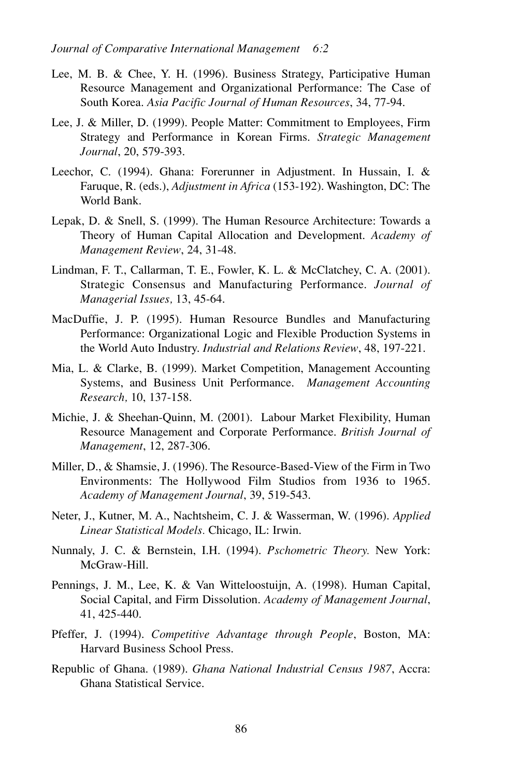- Lee, M. B. & Chee, Y. H. (1996). Business Strategy, Participative Human Resource Management and Organizational Performance: The Case of South Korea. *Asia Pacific Journal of Human Resources*, 34, 77-94.
- Lee, J. & Miller, D. (1999). People Matter: Commitment to Employees, Firm Strategy and Performance in Korean Firms. *Strategic Management Journal*, 20, 579-393.
- Leechor, C. (1994). Ghana: Forerunner in Adjustment. In Hussain, I. & Faruque, R. (eds.), *Adjustment in Africa* (153-192). Washington, DC: The World Bank.
- Lepak, D. & Snell, S. (1999). The Human Resource Architecture: Towards a Theory of Human Capital Allocation and Development. *Academy of Management Review*, 24, 31-48.
- Lindman, F. T., Callarman, T. E., Fowler, K. L. & McClatchey, C. A. (2001). Strategic Consensus and Manufacturing Performance. *Journal of Managerial Issues,* 13, 45-64.
- MacDuffie, J. P. (1995). Human Resource Bundles and Manufacturing Performance: Organizational Logic and Flexible Production Systems in the World Auto Industry. *Industrial and Relations Review*, 48, 197-221.
- Mia, L. & Clarke, B. (1999). Market Competition, Management Accounting Systems, and Business Unit Performance. *Management Accounting Research,* 10, 137-158.
- Michie, J. & Sheehan-Quinn, M. (2001). Labour Market Flexibility, Human Resource Management and Corporate Performance. *British Journal of Management*, 12, 287-306.
- Miller, D., & Shamsie, J. (1996). The Resource-Based-View of the Firm in Two Environments: The Hollywood Film Studios from 1936 to 1965. *Academy of Management Journal*, 39, 519-543.
- Neter, J., Kutner, M. A., Nachtsheim, C. J. & Wasserman, W. (1996). *Applied Linear Statistical Models.* Chicago, IL: Irwin.
- Nunnaly, J. C. & Bernstein, I.H. (1994). *Pschometric Theory.* New York: McGraw-Hill.
- Pennings, J. M., Lee, K. & Van Witteloostuijn, A. (1998). Human Capital, Social Capital, and Firm Dissolution. *Academy of Management Journal*, 41, 425-440.
- Pfeffer, J. (1994). *Competitive Advantage through People*, Boston, MA: Harvard Business School Press.
- Republic of Ghana. (1989). *Ghana National Industrial Census 1987*, Accra: Ghana Statistical Service.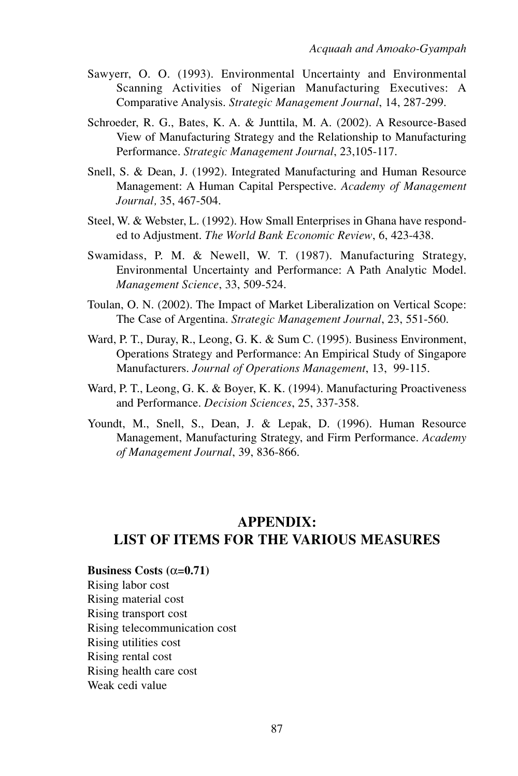- Sawyerr, O. O. (1993). Environmental Uncertainty and Environmental Scanning Activities of Nigerian Manufacturing Executives: A Comparative Analysis. *Strategic Management Journal*, 14, 287-299.
- Schroeder, R. G., Bates, K. A. & Junttila, M. A. (2002). A Resource-Based View of Manufacturing Strategy and the Relationship to Manufacturing Performance. *Strategic Management Journal*, 23,105-117.
- Snell, S. & Dean, J. (1992). Integrated Manufacturing and Human Resource Management: A Human Capital Perspective. *Academy of Management Journal,* 35, 467-504.
- Steel, W. & Webster, L. (1992). How Small Enterprises in Ghana have responded to Adjustment. *The World Bank Economic Review*, 6, 423-438.
- Swamidass, P. M. & Newell, W. T. (1987). Manufacturing Strategy, Environmental Uncertainty and Performance: A Path Analytic Model. *Management Science*, 33, 509-524.
- Toulan, O. N. (2002). The Impact of Market Liberalization on Vertical Scope: The Case of Argentina. *Strategic Management Journal*, 23, 551-560.
- Ward, P. T., Duray, R., Leong, G. K. & Sum C. (1995). Business Environment, Operations Strategy and Performance: An Empirical Study of Singapore Manufacturers. *Journal of Operations Management*, 13, 99-115.
- Ward, P. T., Leong, G. K. & Boyer, K. K. (1994). Manufacturing Proactiveness and Performance. *Decision Sciences*, 25, 337-358.
- Youndt, M., Snell, S., Dean, J. & Lepak, D. (1996). Human Resource Management, Manufacturing Strategy, and Firm Performance. *Academy of Management Journal*, 39, 836-866.

# **APPENDIX: LIST OF ITEMS FOR THE VARIOUS MEASURES**

- **Business Costs (** $\alpha$ **=0.71)**
- Rising labor cost

Rising material cost Rising transport cost Rising telecommunication cost Rising utilities cost Rising rental cost Rising health care cost Weak cedi value